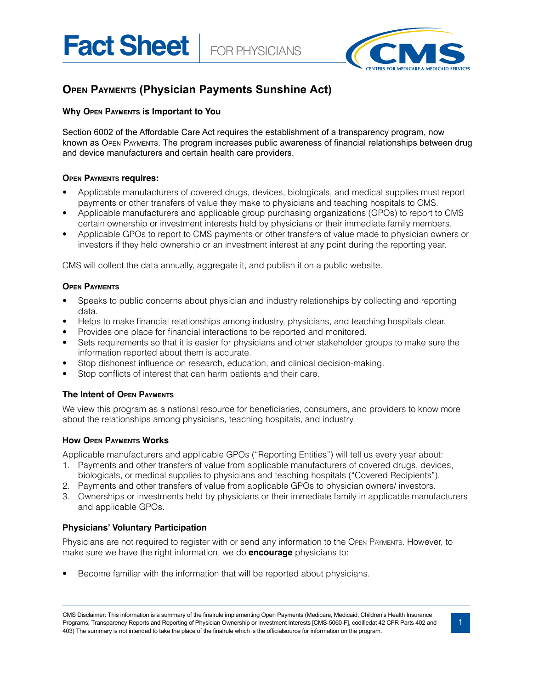Fact Sheet | FOR PHYSICIANS



# **Open Payments (Physician Payments Sunshine Act)**

# **Why Open Payments is Important to You**

Section 6002 of the Affordable Care Act requires the establishment of a transparency program, now known as Open payments. The program increases public awareness of financial relationships between drug and device manufacturers and certain health care providers.

## **Open Payments requires:**

- Applicable manufacturers of covered drugs, devices, biologicals, and medical supplies must report payments or other transfers of value they make to physicians and teaching hospitals to CMS.
- Applicable manufacturers and applicable group purchasing organizations (GPOs) to report to CMS certain ownership or investment interests held by physicians or their immediate family members.
- Applicable GPOs to report to CMS payments or other transfers of value made to physician owners or investors if they held ownership or an investment interest at any point during the reporting year.

CMS will collect the data annually, aggregate it, and publish it on a public website.

## **Open Payments**

- Speaks to public concerns about physician and industry relationships by collecting and reporting data.
- Helps to make financial relationships among industry, physicians, and teaching hospitals clear.
- Provides one place for financial interactions to be reported and monitored.
- Sets requirements so that it is easier for physicians and other stakeholder groups to make sure the information reported about them is accurate.
- Stop dishonest influence on research, education, and clinical decision-making.
- Stop conflicts of interest that can harm patients and their care.

# **The Intent of Open Payments**

We view this program as a national resource for beneficiaries, consumers, and providers to know more about the relationships among physicians, teaching hospitals, and industry.

# **How Open Payments Works**

Applicable manufacturers and applicable GPOs ("Reporting Entities") will tell us every year about:

- 1. Payments and other transfers of value from applicable manufacturers of covered drugs, devices, biologicals, or medical supplies to physicians and teaching hospitals ("Covered Recipients").
- 2. Payments and other transfers of value from applicable GPOs to physician owners/ investors.
- 3. Ownerships or investments held by physicians or their immediate family in applicable manufacturers and applicable GPOs.

# **Physicians' Voluntary Participation**

Physicians are not required to register with or send any information to the Open Payments. However, to make sure we have the right information, we do **encourage** physicians to:

Become familiar with the information that will be reported about physicians.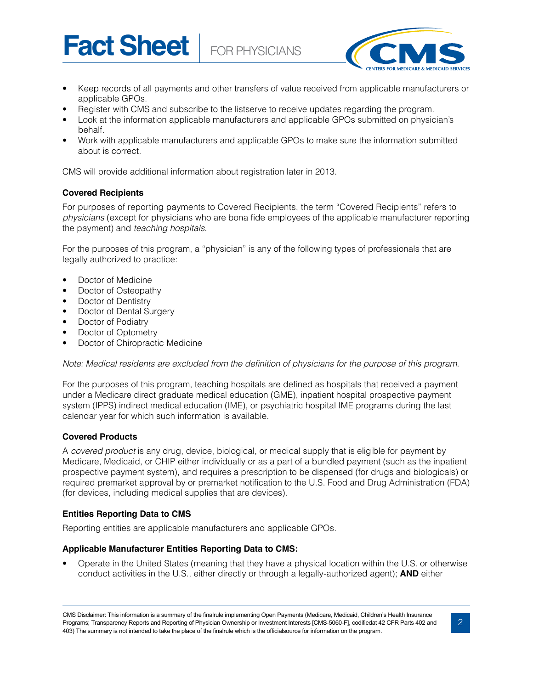**Fact Sheet** FOR PHYSICIANS



- Keep records of all payments and other transfers of value received from applicable manufacturers or applicable GPOs.
- Register with CMS and subscribe to the listserve to receive updates regarding the program.
- Look at the information applicable manufacturers and applicable GPOs submitted on physician's behalf.
- Work with applicable manufacturers and applicable GPOs to make sure the information submitted about is correct.

CMS will provide additional information about registration later in 2013.

# **Covered Recipients**

For purposes of reporting payments to Covered Recipients, the term "Covered Recipients" refers to *physicians* (except for physicians who are bona fide employees of the applicable manufacturer reporting the payment) and *teaching hospitals*.

For the purposes of this program, a "physician" is any of the following types of professionals that are legally authorized to practice:

- Doctor of Medicine
- Doctor of Osteopathy
- Doctor of Dentistry
- Doctor of Dental Surgery
- Doctor of Podiatry
- Doctor of Optometry
- Doctor of Chiropractic Medicine

Note: Medical residents are excluded from the definition of physicians for the purpose of this program.

For the purposes of this program, teaching hospitals are defined as hospitals that received a payment under a Medicare direct graduate medical education (GME), inpatient hospital prospective payment system (IPPS) indirect medical education (IME), or psychiatric hospital IME programs during the last calendar year for which such information is available.

# **Covered Products**

A *covered product* is any drug, device, biological, or medical supply that is eligible for payment by Medicare, Medicaid, or CHIP either individually or as a part of a bundled payment (such as the inpatient prospective payment system), and requires a prescription to be dispensed (for drugs and biologicals) or required premarket approval by or premarket notification to the U.S. Food and Drug Administration (FDA) (for devices, including medical supplies that are devices).

#### **Entities Reporting Data to CMS**

Reporting entities are applicable manufacturers and applicable GPOs.

#### **Applicable Manufacturer Entities Reporting Data to CMS:**

• Operate in the United States (meaning that they have a physical location within the U.S. or otherwise conduct activities in the U.S., either directly or through a legally-authorized agent); **AND** either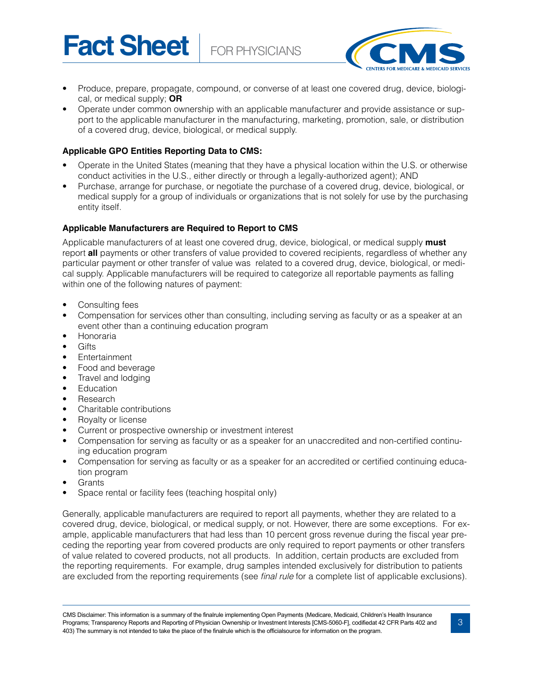Fact Sheet | FOR PHYSICIANS



- Produce, prepare, propagate, compound, or converse of at least one covered drug, device, biological, or medical supply; **OR**
- Operate under common ownership with an applicable manufacturer and provide assistance or support to the applicable manufacturer in the manufacturing, marketing, promotion, sale, or distribution of a covered drug, device, biological, or medical supply.

# **Applicable GPO Entities Reporting Data to CMS:**

- Operate in the United States (meaning that they have a physical location within the U.S. or otherwise conduct activities in the U.S., either directly or through a legally-authorized agent); AND
- Purchase, arrange for purchase, or negotiate the purchase of a covered drug, device, biological, or medical supply for a group of individuals or organizations that is not solely for use by the purchasing entity itself.

# **Applicable Manufacturers are Required to Report to CMS**

Applicable manufacturers of at least one covered drug, device, biological, or medical supply **must** report **all** payments or other transfers of value provided to covered recipients, regardless of whether any particular payment or other transfer of value was related to a covered drug, device, biological, or medical supply. Applicable manufacturers will be required to categorize all reportable payments as falling within one of the following natures of payment:

- Consulting fees
- Compensation for services other than consulting, including serving as faculty or as a speaker at an event other than a continuing education program
- Honoraria
- Gifts
- Entertainment
- Food and beverage
- Travel and lodging
- **Education**
- **Research**
- Charitable contributions
- Royalty or license
- Current or prospective ownership or investment interest
- Compensation for serving as faculty or as a speaker for an unaccredited and non-certified continuing education program
- Compensation for serving as faculty or as a speaker for an accredited or certified continuing education program
- **Grants**
- Space rental or facility fees (teaching hospital only)

Generally, applicable manufacturers are required to report all payments, whether they are related to a covered drug, device, biological, or medical supply, or not. However, there are some exceptions. For example, applicable manufacturers that had less than 10 percent gross revenue during the fiscal year preceding the reporting year from covered products are only required to report payments or other transfers of value related to covered products, not all products. In addition, certain products are excluded from the reporting requirements. For example, drug samples intended exclusively for distribution to patients are excluded from the reporting requirements (see *final rule* for a complete list of applicable exclusions).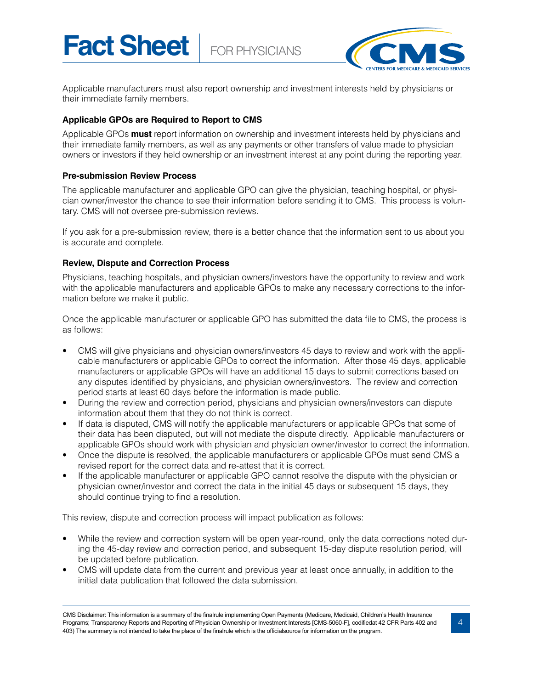**Fact Sheet** FOR PHYSICIANS



Applicable manufacturers must also report ownership and investment interests held by physicians or their immediate family members.

# **Applicable GPOs are Required to Report to CMS**

Applicable GPOs **must** report information on ownership and investment interests held by physicians and their immediate family members, as well as any payments or other transfers of value made to physician owners or investors if they held ownership or an investment interest at any point during the reporting year.

# **Pre-submission Review Process**

The applicable manufacturer and applicable GPO can give the physician, teaching hospital, or physician owner/investor the chance to see their information before sending it to CMS. This process is voluntary. CMS will not oversee pre-submission reviews.

If you ask for a pre-submission review, there is a better chance that the information sent to us about you is accurate and complete.

# **Review, Dispute and Correction Process**

Physicians, teaching hospitals, and physician owners/investors have the opportunity to review and work with the applicable manufacturers and applicable GPOs to make any necessary corrections to the information before we make it public.

Once the applicable manufacturer or applicable GPO has submitted the data file to CMS, the process is as follows:

- CMS will give physicians and physician owners/investors 45 days to review and work with the applicable manufacturers or applicable GPOs to correct the information. After those 45 days, applicable manufacturers or applicable GPOs will have an additional 15 days to submit corrections based on any disputes identified by physicians, and physician owners/investors. The review and correction period starts at least 60 days before the information is made public.
- During the review and correction period, physicians and physician owners/investors can dispute information about them that they do not think is correct.
- If data is disputed, CMS will notify the applicable manufacturers or applicable GPOs that some of their data has been disputed, but will not mediate the dispute directly. Applicable manufacturers or applicable GPOs should work with physician and physician owner/investor to correct the information.
- Once the dispute is resolved, the applicable manufacturers or applicable GPOs must send CMS a revised report for the correct data and re-attest that it is correct.
- If the applicable manufacturer or applicable GPO cannot resolve the dispute with the physician or physician owner/investor and correct the data in the initial 45 days or subsequent 15 days, they should continue trying to find a resolution.

This review, dispute and correction process will impact publication as follows:

- While the review and correction system will be open year-round, only the data corrections noted during the 45-day review and correction period, and subsequent 15-day dispute resolution period, will be updated before publication.
- CMS will update data from the current and previous year at least once annually, in addition to the initial data publication that followed the data submission.

CMS Disclaimer: This information is a summary of the finalrule implementing Open Payments (Medicare, Medicaid, Children's Health Insurance Programs; Transparency Reports and Reporting of Physician Ownership or Investment Interests [CMS-5060-F], codifiedat 42 CFR Parts 402 and 403) The summary is not intended to take the place of the finalrule which is the officialsource for information on the program.